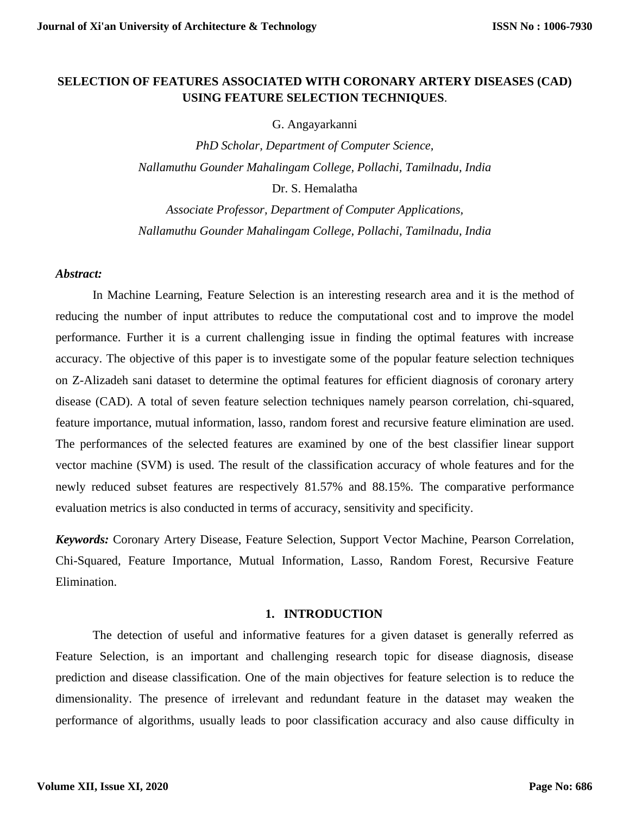# **SELECTION OF FEATURES ASSOCIATED WITH CORONARY ARTERY DISEASES (CAD) USING FEATURE SELECTION TECHNIQUES**.

G. Angayarkanni

*PhD Scholar, Department of Computer Science, Nallamuthu Gounder Mahalingam College, Pollachi, Tamilnadu, India* Dr. S. Hemalatha

*Associate Professor, Department of Computer Applications, Nallamuthu Gounder Mahalingam College, Pollachi, Tamilnadu, India*

### *Abstract:*

In Machine Learning, Feature Selection is an interesting research area and it is the method of reducing the number of input attributes to reduce the computational cost and to improve the model performance. Further it is a current challenging issue in finding the optimal features with increase accuracy. The objective of this paper is to investigate some of the popular feature selection techniques on Z-Alizadeh sani dataset to determine the optimal features for efficient diagnosis of coronary artery disease (CAD). A total of seven feature selection techniques namely pearson correlation, chi-squared, feature importance, mutual information, lasso, random forest and recursive feature elimination are used. The performances of the selected features are examined by one of the best classifier linear support vector machine (SVM) is used. The result of the classification accuracy of whole features and for the newly reduced subset features are respectively 81.57% and 88.15%. The comparative performance evaluation metrics is also conducted in terms of accuracy, sensitivity and specificity.

*Keywords:* Coronary Artery Disease, Feature Selection, Support Vector Machine, Pearson Correlation, Chi-Squared, Feature Importance, Mutual Information, Lasso, Random Forest, Recursive Feature Elimination.

# **1. INTRODUCTION**

The detection of useful and informative features for a given dataset is generally referred as Feature Selection, is an important and challenging research topic for disease diagnosis, disease prediction and disease classification. One of the main objectives for feature selection is to reduce the dimensionality. The presence of irrelevant and redundant feature in the dataset may weaken the performance of algorithms, usually leads to poor classification accuracy and also cause difficulty in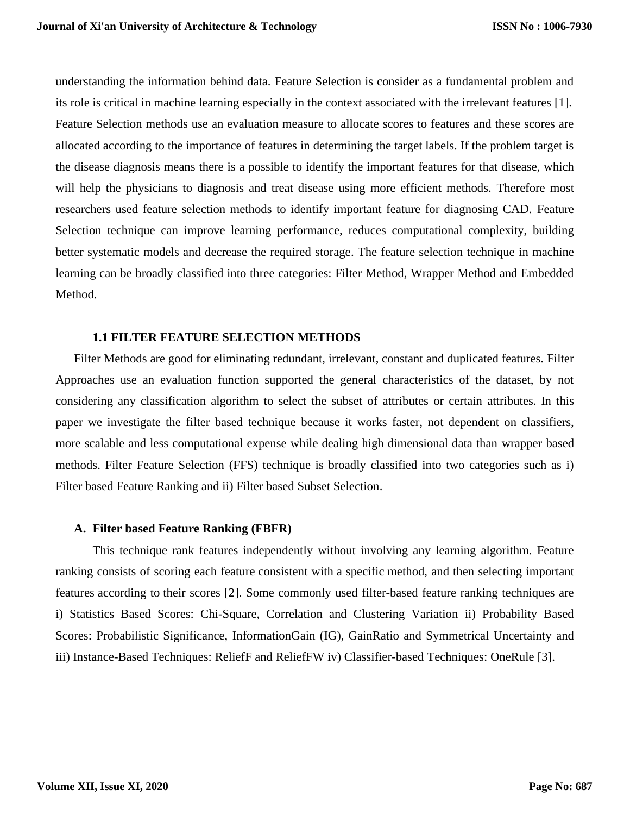understanding the information behind data. Feature Selection is consider as a fundamental problem and its role is critical in machine learning especially in the context associated with the irrelevant features [1]. Feature Selection methods use an evaluation measure to allocate scores to features and these scores are allocated according to the importance of features in determining the target labels. If the problem target is the disease diagnosis means there is a possible to identify the important features for that disease, which will help the physicians to diagnosis and treat disease using more efficient methods. Therefore most researchers used feature selection methods to identify important feature for diagnosing CAD. Feature Selection technique can improve learning performance, reduces computational complexity, building better systematic models and decrease the required storage. The feature selection technique in machine learning can be broadly classified into three categories: Filter Method, Wrapper Method and Embedded Method.

### **1.1 FILTER FEATURE SELECTION METHODS**

Filter Methods are good for eliminating redundant, irrelevant, constant and duplicated features. Filter Approaches use an evaluation function supported the general characteristics of the dataset, by not considering any classification algorithm to select the subset of attributes or certain attributes. In this paper we investigate the filter based technique because it works faster, not dependent on classifiers, more scalable and less computational expense while dealing high dimensional data than wrapper based methods. Filter Feature Selection (FFS) technique is broadly classified into two categories such as i) Filter based Feature Ranking and ii) Filter based Subset Selection.

### **A. Filter based Feature Ranking (FBFR)**

This technique rank features independently without involving any learning algorithm. Feature ranking consists of scoring each feature consistent with a specific method, and then selecting important features according to their scores [2]. Some commonly used filter-based feature ranking techniques are i) Statistics Based Scores: Chi-Square, Correlation and Clustering Variation ii) Probability Based Scores: Probabilistic Significance, InformationGain (IG), GainRatio and Symmetrical Uncertainty and iii) Instance-Based Techniques: ReliefF and ReliefFW iv) Classifier-based Techniques: OneRule [3].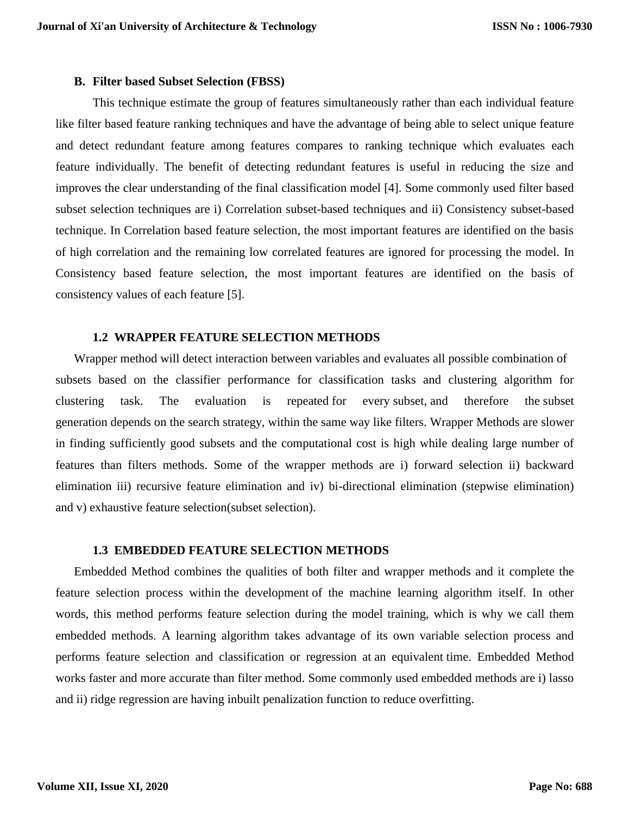### **B. Filter based Subset Selection (FBSS)**

This technique estimate the group of features simultaneously rather than each individual feature like filter based feature ranking techniques and have the advantage of being able to select unique feature and detect redundant feature among features compares to ranking technique which evaluates each feature individually. The benefit of detecting redundant features is useful in reducing the size and improves the clear understanding of the final classification model [4]. Some commonly used filter based subset selection techniques are i) Correlation subset-based techniques and ii) Consistency subset-based technique. In Correlation based feature selection, the most important features are identified on the basis of high correlation and the remaining low correlated features are ignored for processing the model. In Consistency based feature selection, the most important features are identified on the basis of consistency values of each feature [5].

# **1.2 WRAPPER FEATURE SELECTION METHODS**

Wrapper method will detect interaction between variables and evaluates all possible combination of subsets based on the classifier performance for classification tasks and clustering algorithm for clustering task. The evaluation is repeated for every subset, and therefore the subset generation depends on the search strategy, within the same way like filters. Wrapper Methods are slower in finding sufficiently good subsets and the computational cost is high while dealing large number of features than filters methods. Some of the wrapper methods are i) forward selection ii) backward elimination iii) recursive feature elimination and iv) bi-directional elimination (stepwise elimination) and v) exhaustive feature selection(subset selection).

## **1.3 EMBEDDED FEATURE SELECTION METHODS**

Embedded Method combines the qualities of both filter and wrapper methods and it complete the feature selection process within the development of the machine learning algorithm itself. In other words, this method performs feature selection during the model training, which is why we call them embedded methods. A learning algorithm takes advantage of its own variable selection process and performs feature selection and classification or regression at an equivalent time. Embedded Method works faster and more accurate than filter method. Some commonly used embedded methods are i) lasso and ii) ridge regression are having inbuilt penalization function to reduce overfitting.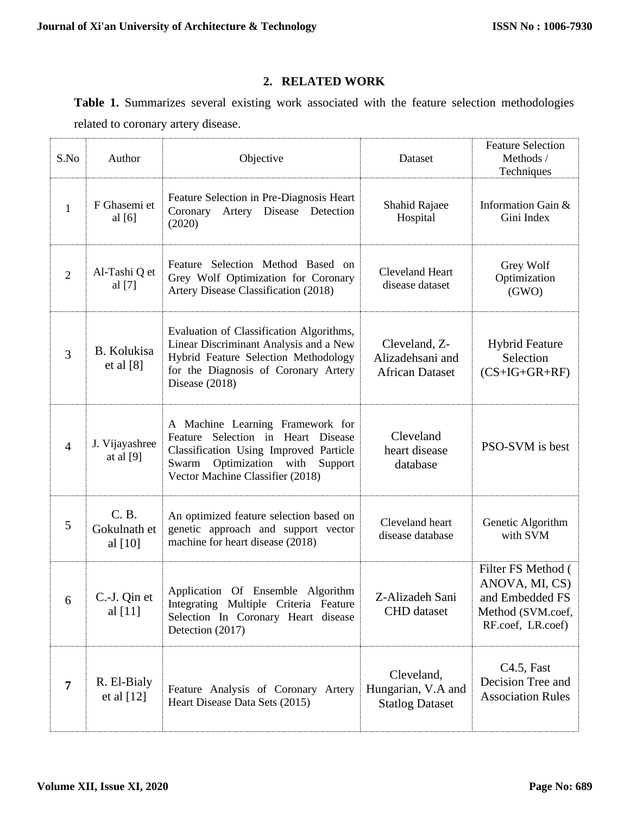# **2. RELATED WORK**

**Table 1.** Summarizes several existing work associated with the feature selection methodologies related to coronary artery disease.

| S.No           | Author                                                                                                                                                           | Objective                                                                                                                                                                                     | Dataset                                                     | <b>Feature Selection</b><br>Methods /<br>Techniques                                               |
|----------------|------------------------------------------------------------------------------------------------------------------------------------------------------------------|-----------------------------------------------------------------------------------------------------------------------------------------------------------------------------------------------|-------------------------------------------------------------|---------------------------------------------------------------------------------------------------|
| $\mathbf{1}$   | F Ghasemi et<br>al $[6]$                                                                                                                                         | Feature Selection in Pre-Diagnosis Heart<br>Artery Disease Detection<br>Coronary<br>(2020)                                                                                                    | Shahid Rajaee<br>Hospital                                   | Information Gain &<br>Gini Index                                                                  |
| $\mathfrak{2}$ | Al-Tashi Q et<br>al [7]                                                                                                                                          | Feature Selection Method Based on<br>Grey Wolf Optimization for Coronary<br>Artery Disease Classification (2018)                                                                              | <b>Cleveland Heart</b><br>disease dataset                   | Grey Wolf<br>Optimization<br>(GWO)                                                                |
| 3              | <b>B.</b> Kolukisa<br>et al $[8]$                                                                                                                                | Evaluation of Classification Algorithms,<br>Linear Discriminant Analysis and a New<br>Hybrid Feature Selection Methodology<br>for the Diagnosis of Coronary Artery<br>Disease (2018)          | Cleveland, Z-<br>Alizadehsani and<br><b>African Dataset</b> | <b>Hybrid Feature</b><br>Selection<br>$(CS+IG+GR+RF)$                                             |
| $\overline{4}$ | J. Vijayashree<br>at al $[9]$                                                                                                                                    | A Machine Learning Framework for<br>Feature Selection in Heart Disease<br>Classification Using Improved Particle<br>Optimization with<br>Swarm<br>Support<br>Vector Machine Classifier (2018) | Cleveland<br>heart disease<br>database                      | PSO-SVM is best                                                                                   |
| 5              | C. B.<br>Gokulnath et<br>al $[10]$                                                                                                                               | An optimized feature selection based on<br>genetic approach and support vector<br>machine for heart disease (2018)                                                                            | Cleveland heart<br>disease database                         | Genetic Algorithm<br>with SVM                                                                     |
| 6              | Application Of Ensemble Algorithm<br>C.-J. Qin et<br>Integrating Multiple Criteria Feature<br>al [11]<br>Selection In Coronary Heart disease<br>Detection (2017) |                                                                                                                                                                                               | Z-Alizadeh Sani<br><b>CHD</b> dataset                       | Filter FS Method (<br>ANOVA, MI, CS)<br>and Embedded FS<br>Method (SVM.coef,<br>RF.coef, LR.coef) |
| 7              | R. El-Bialy<br>et al $[12]$                                                                                                                                      | Feature Analysis of Coronary Artery<br>Heart Disease Data Sets (2015)                                                                                                                         | Cleveland,<br>Hungarian, V.A and<br><b>Statlog Dataset</b>  | $C4.5$ , Fast<br>Decision Tree and<br><b>Association Rules</b>                                    |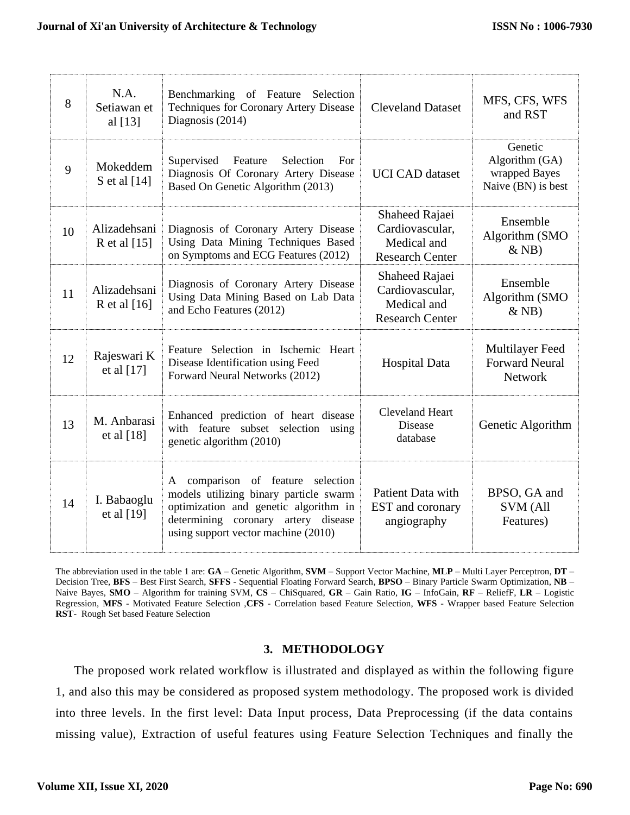| 8  | N.A.<br>Setiawan et<br>al $[13]$ | Benchmarking of Feature Selection<br>Techniques for Coronary Artery Disease<br>Diagnosis (2014)                                                                                                    | <b>Cleveland Dataset</b>                                                   | MFS, CFS, WFS<br>and RST                                         |
|----|----------------------------------|----------------------------------------------------------------------------------------------------------------------------------------------------------------------------------------------------|----------------------------------------------------------------------------|------------------------------------------------------------------|
| 9  | Mokeddem<br>S et al [14]         | Supervised<br>Feature<br>Selection<br>For<br>Diagnosis Of Coronary Artery Disease<br><b>UCI CAD</b> dataset<br>Based On Genetic Algorithm (2013)                                                   |                                                                            | Genetic<br>Algorithm (GA)<br>wrapped Bayes<br>Naive (BN) is best |
| 10 | Alizadehsani<br>R et al $[15]$   | Diagnosis of Coronary Artery Disease<br>Using Data Mining Techniques Based<br>on Symptoms and ECG Features (2012)                                                                                  | Shaheed Rajaei<br>Cardiovascular,<br>Medical and<br><b>Research Center</b> | Ensemble<br>Algorithm (SMO<br>$&$ NB)                            |
| 11 | Alizadehsani<br>R et al $[16]$   | Diagnosis of Coronary Artery Disease<br>Using Data Mining Based on Lab Data<br>and Echo Features (2012)                                                                                            | Shaheed Rajaei<br>Cardiovascular,<br>Medical and<br><b>Research Center</b> | Ensemble<br>Algorithm (SMO<br>$&$ NB)                            |
| 12 | Rajeswari K<br>et al [17]        | Feature Selection in Ischemic Heart<br>Disease Identification using Feed<br>Forward Neural Networks (2012)                                                                                         | <b>Hospital Data</b>                                                       | Multilayer Feed<br><b>Forward Neural</b><br><b>Network</b>       |
| 13 | M. Anbarasi<br>et al $[18]$      | Enhanced prediction of heart disease<br>with feature subset selection using<br>genetic algorithm (2010)                                                                                            | <b>Cleveland Heart</b><br><b>Disease</b><br>database                       | Genetic Algorithm                                                |
| 14 | I. Babaoglu<br>et al [19]        | A comparison of feature selection<br>models utilizing binary particle swarm<br>optimization and genetic algorithm in<br>determining coronary artery disease<br>using support vector machine (2010) | Patient Data with<br>EST and coronary<br>angiography                       | BPSO, GA and<br><b>SVM</b> (All<br>Features)                     |

The abbreviation used in the table 1 are: **GA** – Genetic Algorithm, **SVM** – Support Vector Machine, **MLP** – Multi Layer Perceptron, **DT** – Decision Tree, **BFS** – Best First Search, **SFFS** - Sequential Floating Forward Search, **BPSO** – Binary Particle Swarm Optimization, **NB** – Naive Bayes, **SMO** – Algorithm for training SVM, **CS** – ChiSquared, **GR** – Gain Ratio, **IG** – InfoGain, **RF** – ReliefF, **LR** – Logistic Regression, **MFS** - Motivated Feature Selection ,**CFS** - Correlation based Feature Selection, **WFS** - Wrapper based Feature Selection **RST**- Rough Set based Feature Selection

# **3. METHODOLOGY**

The proposed work related workflow is illustrated and displayed as within the following figure 1, and also this may be considered as proposed system methodology. The proposed work is divided into three levels. In the first level: Data Input process, Data Preprocessing (if the data contains missing value), Extraction of useful features using Feature Selection Techniques and finally the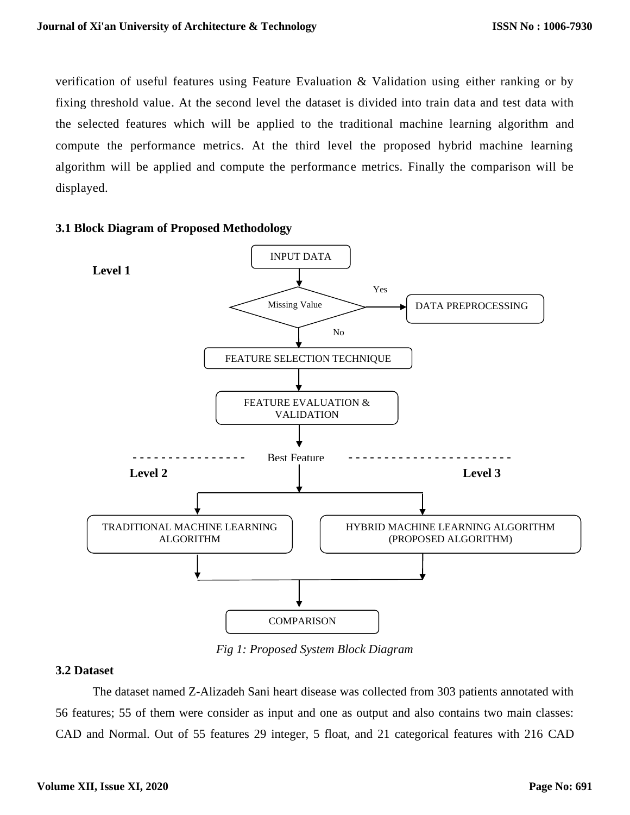verification of useful features using Feature Evaluation & Validation using either ranking or by fixing threshold value. At the second level the dataset is divided into train data and test data with the selected features which will be applied to the traditional machine learning algorithm and compute the performance metrics. At the third level the proposed hybrid machine learning algorithm will be applied and compute the performance metrics. Finally the comparison will be displayed.



#### **3.1 Block Diagram of Proposed Methodology**

*Fig 1: Proposed System Block Diagram*

### **3.2 Dataset**

The dataset named Z-Alizadeh Sani heart disease was collected from 303 patients annotated with 56 features; 55 of them were consider as input and one as output and also contains two main classes: CAD and Normal. Out of 55 features 29 integer, 5 float, and 21 categorical features with 216 CAD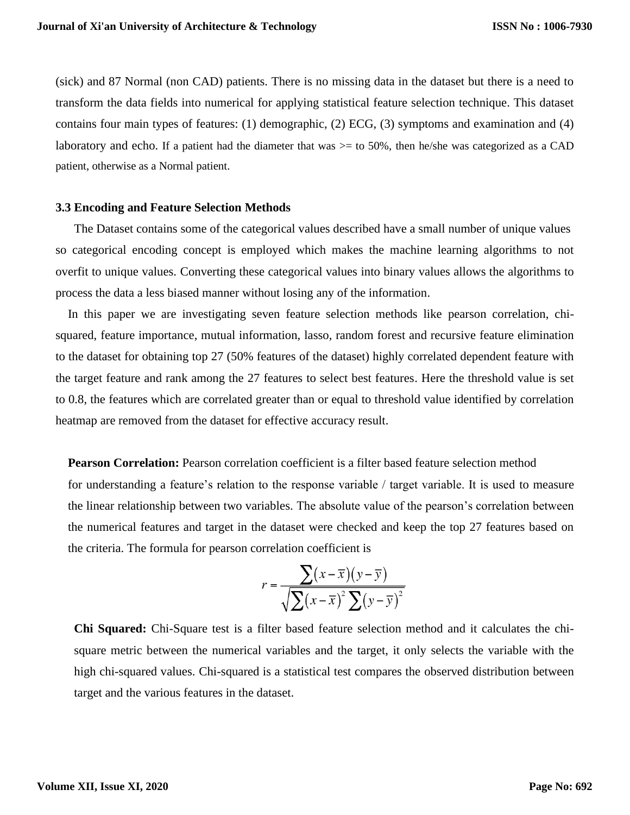(sick) and 87 Normal (non CAD) patients. There is no missing data in the dataset but there is a need to transform the data fields into numerical for applying statistical feature selection technique. This dataset contains four main types of features: (1) demographic, (2) ECG, (3) symptoms and examination and (4) laboratory and echo. If a patient had the diameter that was >= to 50%, then he/she was categorized as a CAD patient, otherwise as a Normal patient.

# **3.3 Encoding and Feature Selection Methods**

The Dataset contains some of the categorical values described have a small number of unique values so categorical encoding concept is employed which makes the machine learning algorithms to not overfit to unique values. Converting these categorical values into binary values allows the algorithms to process the data a less biased manner without losing any of the information.

In this paper we are investigating seven feature selection methods like pearson correlation, chisquared, feature importance, mutual information, lasso, random forest and recursive feature elimination to the dataset for obtaining top 27 (50% features of the dataset) highly correlated dependent feature with the target feature and rank among the 27 features to select best features. Here the threshold value is set to 0.8, the features which are correlated greater than or equal to threshold value identified by correlation heatmap are removed from the dataset for effective accuracy result.

**Pearson Correlation:** Pearson correlation coefficient is a filter based feature selection method

for understanding a feature's relation to the response variable / target variable. It is used to measure the linear relationship between two variables. The absolute value of the pearson's correlation between the numerical features and target in the dataset were checked and keep the top 27 features based on the criteria. The formula for pearson correlation coefficient is

$$
r = \frac{\sum (x - \overline{x})(y - \overline{y})}{\sqrt{\sum (x - \overline{x})^2 \sum (y - \overline{y})^2}}
$$

**Chi Squared:** Chi-Square test is a filter based feature selection method and it calculates the chisquare metric between the numerical variables and the target, it only selects the variable with the high chi-squared values. Chi-squared is a statistical test compares the observed distribution between target and the various features in the dataset.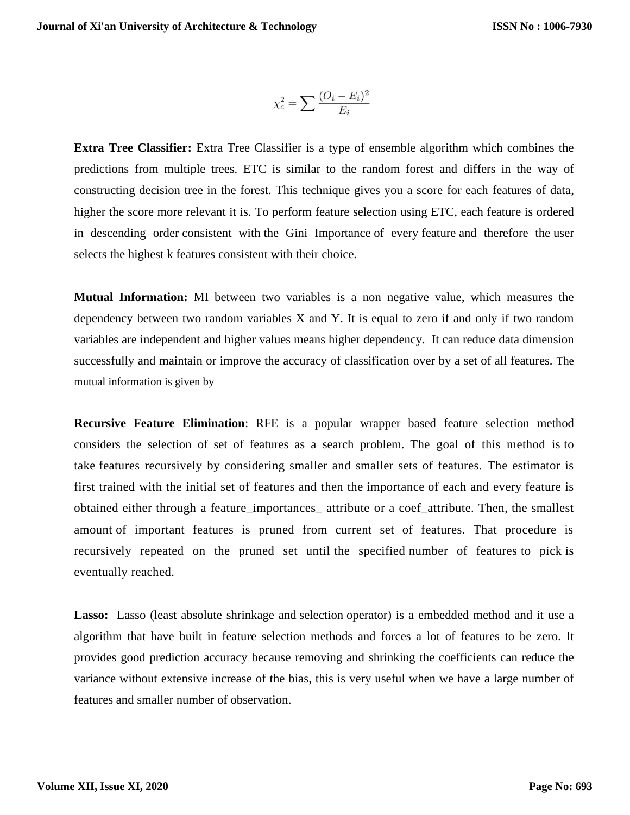$$
\chi_c^2 = \sum \frac{(O_i - E_i)^2}{E_i}
$$

**Extra Tree Classifier:** Extra Tree Classifier is a type of ensemble algorithm which combines the predictions from multiple trees. ETC is similar to the random forest and differs in the way of constructing decision tree in the forest. This technique gives you a score for each features of data, higher the score more relevant it is. To perform feature selection using ETC, each feature is ordered in descending order consistent with the Gini Importance of every feature and therefore the user selects the highest k features consistent with their choice.

**Mutual Information:** MI between two variables is a non negative value, which measures the dependency between two random variables X and Y. It is equal to zero if and only if two random variables are independent and higher values means higher dependency. It can reduce data dimension successfully and maintain or improve the accuracy of classification over by a set of all features. The mutual information is given by

**Recursive Feature Elimination**: RFE is a popular wrapper based feature selection method considers the selection of set of features as a search problem. The goal of this method is to take features recursively by considering smaller and smaller sets of features. The estimator is first trained with the initial set of features and then the importance of each and every feature is obtained either through a feature\_importances\_ attribute or a coef\_attribute. Then, the smallest amount of important features is pruned from current set of features. That procedure is recursively repeated on the pruned set until the specified number of features to pick is eventually reached.

**Lasso:** Lasso (least absolute shrinkage and selection operator) is a embedded method and it use a algorithm that have built in feature selection methods and forces a lot of features to be zero. It provides good prediction accuracy because removing and shrinking the coefficients can reduce the variance without extensive increase of the bias, this is very useful when we have a large number of features and smaller number of observation.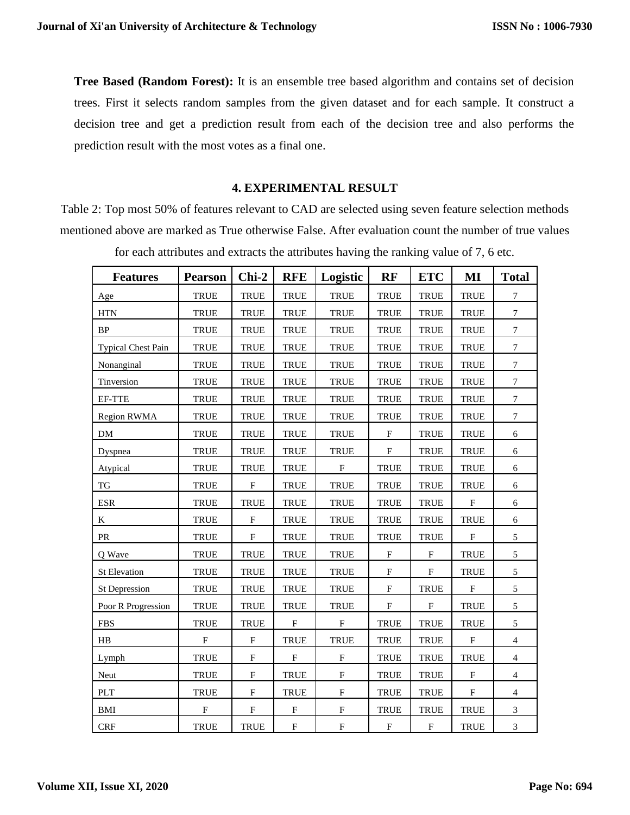**Tree Based (Random Forest):** It is an ensemble tree based algorithm and contains set of decision trees. First it selects random samples from the given dataset and for each sample. It construct a decision tree and get a prediction result from each of the decision tree and also performs the prediction result with the most votes as a final one.

# **4. EXPERIMENTAL RESULT**

Table 2: Top most 50% of features relevant to CAD are selected using seven feature selection methods mentioned above are marked as True otherwise False. After evaluation count the number of true values

| <b>Features</b>           | <b>Pearson</b>            | $Chi-2$                   | <b>RFE</b>                | Logistic                  | RF                        | <b>ETC</b>                | MI                        | <b>Total</b>     |
|---------------------------|---------------------------|---------------------------|---------------------------|---------------------------|---------------------------|---------------------------|---------------------------|------------------|
| Age                       | <b>TRUE</b>               | <b>TRUE</b>               | <b>TRUE</b>               | <b>TRUE</b>               | <b>TRUE</b>               | <b>TRUE</b>               | <b>TRUE</b>               | $\boldsymbol{7}$ |
| <b>HTN</b>                | <b>TRUE</b>               | <b>TRUE</b>               | <b>TRUE</b>               | <b>TRUE</b>               | <b>TRUE</b>               | <b>TRUE</b>               | <b>TRUE</b>               | $\boldsymbol{7}$ |
| <b>BP</b>                 | <b>TRUE</b>               | <b>TRUE</b>               | TRUE                      | <b>TRUE</b>               | <b>TRUE</b>               | <b>TRUE</b>               | <b>TRUE</b>               | $\boldsymbol{7}$ |
| <b>Typical Chest Pain</b> | <b>TRUE</b>               | <b>TRUE</b>               | <b>TRUE</b>               | <b>TRUE</b>               | <b>TRUE</b>               | <b>TRUE</b>               | <b>TRUE</b>               | $\boldsymbol{7}$ |
| Nonanginal                | <b>TRUE</b>               | TRUE                      | <b>TRUE</b>               | <b>TRUE</b>               | <b>TRUE</b>               | <b>TRUE</b>               | <b>TRUE</b>               | $\boldsymbol{7}$ |
| Tinversion                | <b>TRUE</b>               | <b>TRUE</b>               | <b>TRUE</b>               | <b>TRUE</b>               | <b>TRUE</b>               | <b>TRUE</b>               | <b>TRUE</b>               | $\boldsymbol{7}$ |
| EF-TTE                    | <b>TRUE</b>               | <b>TRUE</b>               | <b>TRUE</b>               | <b>TRUE</b>               | <b>TRUE</b>               | <b>TRUE</b>               | <b>TRUE</b>               | $\boldsymbol{7}$ |
| Region RWMA               | <b>TRUE</b>               | <b>TRUE</b>               | TRUE                      | <b>TRUE</b>               | <b>TRUE</b>               | <b>TRUE</b>               | <b>TRUE</b>               | $\boldsymbol{7}$ |
| DM                        | <b>TRUE</b>               | <b>TRUE</b>               | <b>TRUE</b>               | <b>TRUE</b>               | $\boldsymbol{\mathrm{F}}$ | <b>TRUE</b>               | <b>TRUE</b>               | 6                |
| Dyspnea                   | <b>TRUE</b>               | <b>TRUE</b>               | <b>TRUE</b>               | <b>TRUE</b>               | $\boldsymbol{\mathrm{F}}$ | <b>TRUE</b>               | <b>TRUE</b>               | 6                |
| Atypical                  | <b>TRUE</b>               | <b>TRUE</b>               | TRUE                      | F                         | <b>TRUE</b>               | TRUE                      | <b>TRUE</b>               | $\sqrt{6}$       |
| $\mathcal{T}\mathcal{G}$  | <b>TRUE</b>               | $\boldsymbol{\mathrm{F}}$ | <b>TRUE</b>               | <b>TRUE</b>               | <b>TRUE</b>               | <b>TRUE</b>               | <b>TRUE</b>               | $\sqrt{6}$       |
| <b>ESR</b>                | <b>TRUE</b>               | <b>TRUE</b>               | <b>TRUE</b>               | <b>TRUE</b>               | <b>TRUE</b>               | <b>TRUE</b>               | $\mathbf{F}$              | $\sqrt{6}$       |
| K                         | TRUE                      | $_{\rm F}$                | <b>TRUE</b>               | <b>TRUE</b>               | <b>TRUE</b>               | <b>TRUE</b>               | <b>TRUE</b>               | $\boldsymbol{6}$ |
| PR                        | <b>TRUE</b>               | $\mathbf F$               | <b>TRUE</b>               | <b>TRUE</b>               | <b>TRUE</b>               | <b>TRUE</b>               | $\mathbf{F}$              | 5                |
| Q Wave                    | TRUE                      | <b>TRUE</b>               | TRUE                      | <b>TRUE</b>               | F                         | $\boldsymbol{\mathrm{F}}$ | <b>TRUE</b>               | 5                |
| St Elevation              | <b>TRUE</b>               | <b>TRUE</b>               | <b>TRUE</b>               | <b>TRUE</b>               | ${\bf F}$                 | $\mathbf F$               | <b>TRUE</b>               | $\sqrt{5}$       |
| St Depression             | <b>TRUE</b>               | <b>TRUE</b>               | <b>TRUE</b>               | <b>TRUE</b>               | $\boldsymbol{\mathrm{F}}$ | TRUE                      | $\boldsymbol{\mathrm{F}}$ | $\sqrt{5}$       |
| Poor R Progression        | <b>TRUE</b>               | <b>TRUE</b>               | TRUE                      | <b>TRUE</b>               | F                         | $\mathbf F$               | <b>TRUE</b>               | $\sqrt{5}$       |
| <b>FBS</b>                | <b>TRUE</b>               | <b>TRUE</b>               | $\boldsymbol{\mathrm{F}}$ | $\boldsymbol{F}$          | <b>TRUE</b>               | <b>TRUE</b>               | <b>TRUE</b>               | $\sqrt{5}$       |
| H B                       | $\boldsymbol{\mathrm{F}}$ | ${\bf F}$                 | <b>TRUE</b>               | <b>TRUE</b>               | <b>TRUE</b>               | <b>TRUE</b>               | $\mathbf F$               | $\overline{4}$   |
| Lymph                     | <b>TRUE</b>               | $\boldsymbol{\mathrm{F}}$ | F                         | ${\rm F}$                 | <b>TRUE</b>               | <b>TRUE</b>               | <b>TRUE</b>               | $\overline{4}$   |
| Neut                      | <b>TRUE</b>               | $\mathbf F$               | <b>TRUE</b>               | $\boldsymbol{\mathrm{F}}$ | <b>TRUE</b>               | <b>TRUE</b>               | $\boldsymbol{\mathrm{F}}$ | $\overline{4}$   |
| PLT                       | <b>TRUE</b>               | $\boldsymbol{\mathrm{F}}$ | <b>TRUE</b>               | ${\bf F}$                 | <b>TRUE</b>               | <b>TRUE</b>               | $\mathbf{F}$              | $\overline{4}$   |
| <b>BMI</b>                | ${\bf F}$                 | ${\bf F}$                 | ${\bf F}$                 | ${\bf F}$                 | <b>TRUE</b>               | <b>TRUE</b>               | <b>TRUE</b>               | $\mathfrak{Z}$   |
| <b>CRF</b>                | <b>TRUE</b>               | <b>TRUE</b>               | ${\bf F}$                 | ${\bf F}$                 | $\boldsymbol{\mathrm{F}}$ | $\boldsymbol{\mathrm{F}}$ | <b>TRUE</b>               | $\mathfrak 3$    |

for each attributes and extracts the attributes having the ranking value of 7, 6 etc.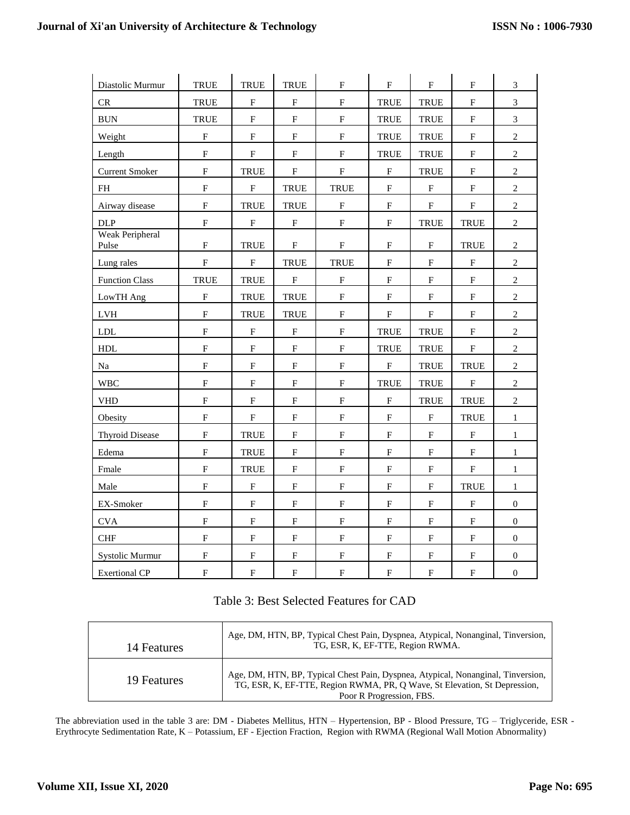| Diastolic Murmur                | <b>TRUE</b>             | TRUE                      | TRUE                      | ${\bf F}$                 | ${\bf F}$                 | ${\bf F}$                 | F           | $\mathfrak{Z}$   |
|---------------------------------|-------------------------|---------------------------|---------------------------|---------------------------|---------------------------|---------------------------|-------------|------------------|
| CR                              | <b>TRUE</b>             | F                         | F                         | ${\bf F}$                 | <b>TRUE</b>               | <b>TRUE</b>               | F           | 3                |
| $\rm BUN$                       | <b>TRUE</b>             | $\mathbf F$               | ${\bf F}$                 | ${\bf F}$                 | <b>TRUE</b>               | TRUE                      | ${\bf F}$   | $\overline{3}$   |
| Weight                          | ${\bf F}$               | ${\bf F}$                 | ${\bf F}$                 | ${\bf F}$                 | <b>TRUE</b>               | <b>TRUE</b>               | ${\bf F}$   | $\sqrt{2}$       |
| Length                          | ${\bf F}$               | $\boldsymbol{\mathrm{F}}$ | ${\bf F}$                 | $\mathbf F$               | <b>TRUE</b>               | TRUE                      | $\mathbf F$ | $\sqrt{2}$       |
| <b>Current Smoker</b>           | $\overline{\mathrm{F}}$ | <b>TRUE</b>               | ${\bf F}$                 | ${\bf F}$                 | $\rm F$                   | TRUE                      | ${\bf F}$   | $\overline{2}$   |
| $\mathbf{FH}% _{2}(X)$          | ${\bf F}$               | $\mathbf F$               | TRUE                      | TRUE                      | $\rm F$                   | $\mathbf F$               | ${\bf F}$   | $\sqrt{2}$       |
| Airway disease                  | ${\bf F}$               | <b>TRUE</b>               | TRUE                      | ${\bf F}$                 | ${\bf F}$                 | ${\bf F}$                 | ${\bf F}$   | $\overline{c}$   |
| DLP                             | $\overline{\mathrm{F}}$ | $\mathbf F$               | $\mathbf F$               | ${\bf F}$                 | $\mathbf F$               | <b>TRUE</b>               | <b>TRUE</b> | $\overline{2}$   |
| <b>Weak Peripheral</b><br>Pulse | ${\bf F}$               | <b>TRUE</b>               | ${\bf F}$                 | $\rm F$                   | ${\bf F}$                 | $\mathbf F$               | <b>TRUE</b> | $\boldsymbol{2}$ |
| Lung rales                      | ${\bf F}$               | $\mathbf F$               | TRUE                      | TRUE                      | $\rm F$                   | $\mathbf F$               | ${\bf F}$   | $\sqrt{2}$       |
| <b>Function Class</b>           | <b>TRUE</b>             | TRUE                      | ${\bf F}$                 | ${\bf F}$                 | ${\bf F}$                 | $\mathbf F$               | ${\rm F}$   | $\overline{c}$   |
| LowTH Ang                       | $\overline{F}$          | <b>TRUE</b>               | TRUE                      | $\mathbf F$               | $\mathbf F$               | $\overline{\mathrm{F}}$   | ${\bf F}$   | $\overline{2}$   |
| ${\rm LVH}$                     | $\mathbf F$             | TRUE                      | TRUE                      | $\mathbf F$               | $\mathbf F$               | $\mathbf F$               | $\mathbf F$ | $\overline{2}$   |
| ${\rm LDL}$                     | $\mathbf F$             | F                         | F                         | $\boldsymbol{\mathrm{F}}$ | <b>TRUE</b>               | TRUE                      | F           | $\overline{c}$   |
| ${\rm HDL}$                     | $\mathbf F$             | $\mathbf F$               | ${\rm F}$                 | ${\bf F}$                 | <b>TRUE</b>               | TRUE                      | ${\bf F}$   | $\sqrt{2}$       |
| Na                              | $\overline{\mathrm{F}}$ | $\mathbf F$               | ${\bf F}$                 | ${\bf F}$                 | ${\bf F}$                 | <b>TRUE</b>               | <b>TRUE</b> | $\overline{c}$   |
| <b>WBC</b>                      | $\mathbf F$             | $\mathbf F$               | ${\bf F}$                 | ${\bf F}$                 | TRUE                      | <b>TRUE</b>               | $\rm F$     | $\sqrt{2}$       |
| <b>VHD</b>                      | ${\bf F}$               | $\mathbf F$               | ${\rm F}$                 | ${\bf F}$                 | ${\bf F}$                 | TRUE                      | TRUE        | $\sqrt{2}$       |
| Obesity                         | $\mathbf F$             | $\mathbf F$               | ${\bf F}$                 | ${\bf F}$                 | $\mathbf F$               | $\overline{\mathrm{F}}$   | TRUE        | $\mathbf{1}$     |
| <b>Thyroid Disease</b>          | $\mathbf F$             | <b>TRUE</b>               | ${\bf F}$                 | ${\bf F}$                 | ${\bf F}$                 | $\boldsymbol{\mathrm{F}}$ | ${\bf F}$   | $\mathbf{1}$     |
| Edema                           | $\overline{\mathrm{F}}$ | TRUE                      | ${\bf F}$                 | ${\bf F}$                 | $\boldsymbol{\mathrm{F}}$ | $\mathbf F$               | ${\bf F}$   | $\mathbf{1}$     |
| Fmale                           | ${\bf F}$               | TRUE                      | $\mathbf F$               | $\mathbf F$               | $\mathbf F$               | $\mathbf F$               | $\mathbf F$ | $\mathbf{1}$     |
| Male                            | ${\bf F}$               | $\boldsymbol{\mathrm{F}}$ | ${\rm F}$                 | ${\bf F}$                 | $\boldsymbol{\mathrm{F}}$ | F                         | TRUE        | $\mathbf{1}$     |
| EX-Smoker                       | ${\bf F}$               | ${\bf F}$                 | ${\bf F}$                 | $\mathbf F$               | $\mathbf F$               | $\mathbf F$               | $\mathbf F$ | $\boldsymbol{0}$ |
| <b>CVA</b>                      | ${\bf F}$               | $\mathbf F$               | ${\bf F}$                 | ${\bf F}$                 | ${\bf F}$                 | ${\bf F}$                 | ${\rm F}$   | $\boldsymbol{0}$ |
| <b>CHF</b>                      | $\overline{\mathrm{F}}$ | $\overline{\mathrm{F}}$   | $\boldsymbol{\mathrm{F}}$ | $\mathbf F$               | $\mathbf F$               | $\boldsymbol{\mathrm{F}}$ | ${\bf F}$   | $\mathbf{0}$     |
| Systolic Murmur                 | F                       | $\mathbf F$               | ${\rm F}$                 | ${\bf F}$                 | ${\bf F}$                 | ${\bf F}$                 | ${\rm F}$   | $\overline{0}$   |
| <b>Exertional CP</b>            | ${\bf F}$               | ${\bf F}$                 | ${\bf F}$                 | ${\bf F}$                 | ${\bf F}$                 | ${\bf F}$                 | ${\bf F}$   | $\boldsymbol{0}$ |

# Table 3: Best Selected Features for CAD

| 14 Features | Age, DM, HTN, BP, Typical Chest Pain, Dyspnea, Atypical, Nonanginal, Tinversion,<br>TG, ESR, K, EF-TTE, Region RWMA.                                                                      |
|-------------|-------------------------------------------------------------------------------------------------------------------------------------------------------------------------------------------|
| 19 Features | Age, DM, HTN, BP, Typical Chest Pain, Dyspnea, Atypical, Nonanginal, Tinversion,<br>TG, ESR, K, EF-TTE, Region RWMA, PR, O Wave, St Elevation, St Depression,<br>Poor R Progression, FBS. |

The abbreviation used in the table 3 are: DM - Diabetes Mellitus, HTN – Hypertension, BP - Blood Pressure, TG – Triglyceride, ESR - Erythrocyte Sedimentation Rate, K – Potassium, EF - Ejection Fraction, Region with RWMA (Regional Wall Motion Abnormality)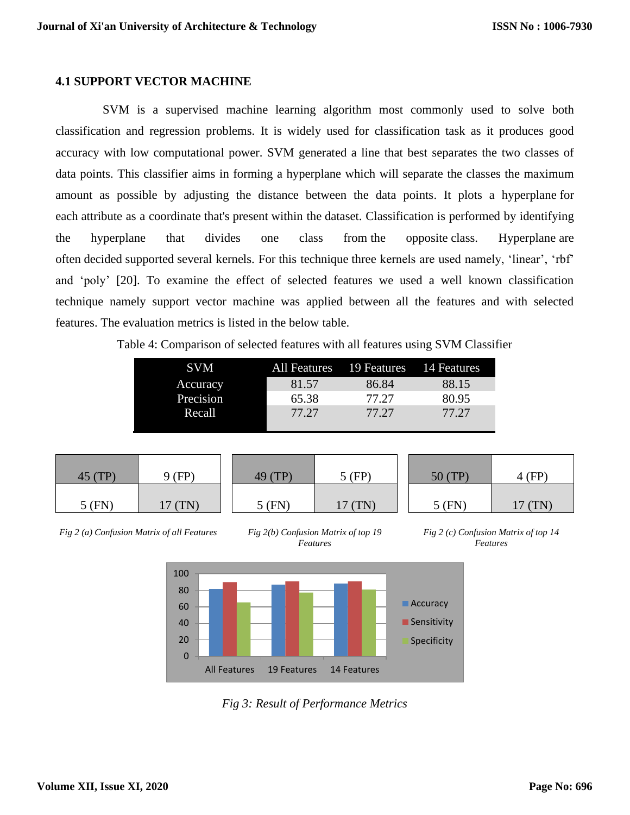# **4.1 SUPPORT VECTOR MACHINE**

SVM is a supervised machine learning algorithm most commonly used to solve both classification and regression problems. It is widely used for classification task as it produces good accuracy with low computational power. SVM generated a line that best separates the two classes of data points. This classifier aims in forming a hyperplane which will separate the classes the maximum amount as possible by adjusting the distance between the data points. It plots a hyperplane for each attribute as a coordinate that's present within the dataset. Classification is performed by identifying the hyperplane that divides one class from the opposite class. Hyperplane are often decided supported several kernels. For this technique three kernels are used namely, 'linear', 'rbf' and 'poly' [20]. To examine the effect of selected features we used a well known classification technique namely support vector machine was applied between all the features and with selected features. The evaluation metrics is listed in the below table.

Table 4: Comparison of selected features with all features using SVM Classifier

| <b>SVM</b> | All Features | 19 Features 14 Features |       |
|------------|--------------|-------------------------|-------|
| Accuracy   | 81.57        | 86.84                   | 88.15 |
| Precision  | 65.38        | 77.27                   | 80.95 |
| Recall     | 77.27        | 77.27                   | 77.27 |
|            |              |                         |       |

| 45 (TP)  | 9 (FP) |  |
|----------|--------|--|
| $5$ (FN) | 17(TN) |  |

*Fig 2 (a) Confusion Matrix of all Features*



49 (TP) 5 (FP)

5 (FN) 17 (TN)



5 (FN) 17 (TN)

50 (TP) 4 (FP)



*Fig 3: Result of Performance Metrics*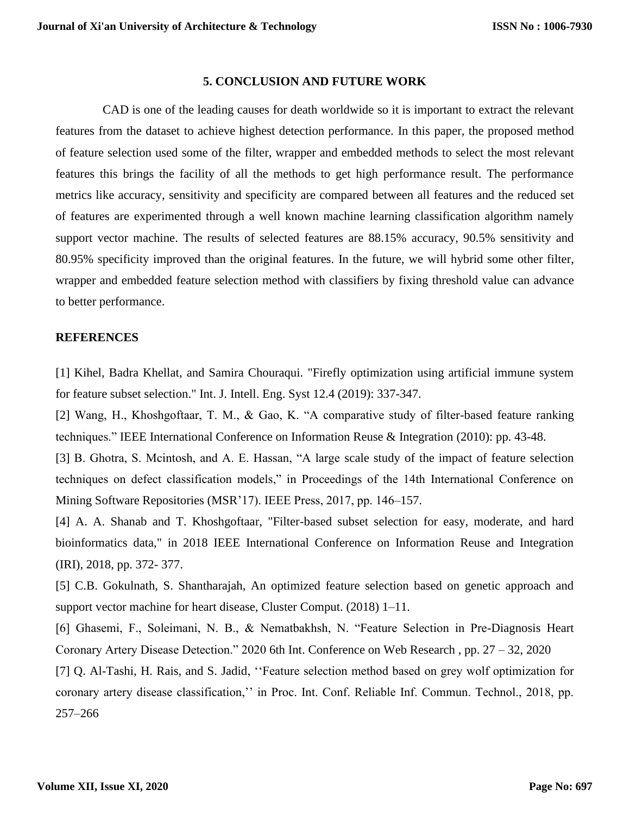### **5. CONCLUSION AND FUTURE WORK**

CAD is one of the leading causes for death worldwide so it is important to extract the relevant features from the dataset to achieve highest detection performance. In this paper, the proposed method of feature selection used some of the filter, wrapper and embedded methods to select the most relevant features this brings the facility of all the methods to get high performance result. The performance metrics like accuracy, sensitivity and specificity are compared between all features and the reduced set of features are experimented through a well known machine learning classification algorithm namely support vector machine. The results of selected features are 88.15% accuracy, 90.5% sensitivity and 80.95% specificity improved than the original features. In the future, we will hybrid some other filter, wrapper and embedded feature selection method with classifiers by fixing threshold value can advance to better performance.

# **REFERENCES**

[1] Kihel, Badra Khellat, and Samira Chouraqui. "Firefly optimization using artificial immune system for feature subset selection." Int. J. Intell. Eng. Syst 12.4 (2019): 337-347.

[2] Wang, H., Khoshgoftaar, T. M., & Gao, K. "A comparative study of filter-based feature ranking techniques." IEEE International Conference on Information Reuse & Integration (2010): pp. 43-48.

[3] B. Ghotra, S. Mcintosh, and A. E. Hassan, "A large scale study of the impact of feature selection techniques on defect classification models," in Proceedings of the 14th International Conference on Mining Software Repositories (MSR'17). IEEE Press, 2017, pp. 146–157.

[4] A. A. Shanab and T. Khoshgoftaar, "Filter-based subset selection for easy, moderate, and hard bioinformatics data," in 2018 IEEE International Conference on Information Reuse and Integration (IRI), 2018, pp. 372- 377.

[5] C.B. Gokulnath, S. Shantharajah, An optimized feature selection based on genetic approach and support vector machine for heart disease, Cluster Comput. (2018) 1–11.

[6] Ghasemi, F., Soleimani, N. B., & Nematbakhsh, N. "Feature Selection in Pre-Diagnosis Heart Coronary Artery Disease Detection." 2020 6th Int. [Conference on Web Research](https://ieeexplore.ieee.org/xpl/conhome/9118608/proceeding) , pp. 27 – 32, 2020

[7] Q. Al-Tashi, H. Rais, and S. Jadid, ''Feature selection method based on grey wolf optimization for coronary artery disease classification,'' in Proc. Int. Conf. Reliable Inf. Commun. Technol., 2018, pp. 257–266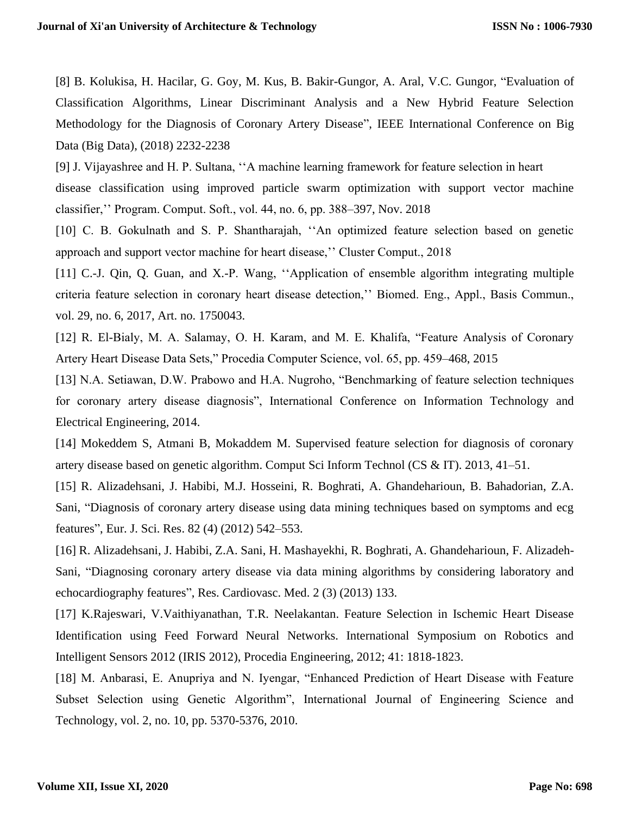[8] B. Kolukisa, H. Hacilar, G. Goy, M. Kus, B. Bakir-Gungor, A. Aral, V.C. Gungor, "Evaluation of Classification Algorithms, Linear Discriminant Analysis and a New Hybrid Feature Selection Methodology for the Diagnosis of Coronary Artery Disease", IEEE International Conference on Big Data (Big Data), (2018) 2232-2238

[9] J. Vijayashree and H. P. Sultana, ''A machine learning framework for feature selection in heart disease classification using improved particle swarm optimization with support vector machine

classifier,'' Program. Comput. Soft., vol. 44, no. 6, pp. 388–397, Nov. 2018

[10] C. B. Gokulnath and S. P. Shantharajah, "An optimized feature selection based on genetic approach and support vector machine for heart disease,'' Cluster Comput., 2018

[11] C.-J. Qin, Q. Guan, and X.-P. Wang, ''Application of ensemble algorithm integrating multiple criteria feature selection in coronary heart disease detection,'' Biomed. Eng., Appl., Basis Commun., vol. 29, no. 6, 2017, Art. no. 1750043.

[12] R. El-Bialy, M. A. Salamay, O. H. Karam, and M. E. Khalifa, "Feature Analysis of Coronary Artery Heart Disease Data Sets," Procedia Computer Science, vol. 65, pp. 459–468, 2015

[13] N.A. Setiawan, D.W. Prabowo and H.A. Nugroho, "Benchmarking of feature selection techniques for coronary artery disease diagnosis", International Conference on Information Technology and Electrical Engineering, 2014.

[14] Mokeddem S, Atmani B, Mokaddem M. Supervised feature selection for diagnosis of coronary artery disease based on genetic algorithm. Comput Sci Inform Technol (CS & IT). 2013, 41–51.

[15] R. Alizadehsani, J. Habibi, M.J. Hosseini, R. Boghrati, A. Ghandeharioun, B. Bahadorian, Z.A. Sani, "Diagnosis of coronary artery disease using data mining techniques based on symptoms and ecg features", Eur. J. Sci. Res. 82 (4) (2012) 542–553.

[16] R. Alizadehsani, J. Habibi, Z.A. Sani, H. Mashayekhi, R. Boghrati, A. Ghandeharioun, F. Alizadeh-Sani, "Diagnosing coronary artery disease via data mining algorithms by considering laboratory and echocardiography features", Res. Cardiovasc. Med. 2 (3) (2013) 133.

[17] K.Rajeswari, V.Vaithiyanathan, T.R. Neelakantan. Feature Selection in Ischemic Heart Disease Identification using Feed Forward Neural Networks. International Symposium on Robotics and Intelligent Sensors 2012 (IRIS 2012), Procedia Engineering, 2012; 41: 1818-1823.

[18] M. Anbarasi, E. Anupriya and N. Iyengar, "Enhanced Prediction of Heart Disease with Feature Subset Selection using Genetic Algorithm", International Journal of Engineering Science and Technology, vol. 2, no. 10, pp. 5370-5376, 2010.